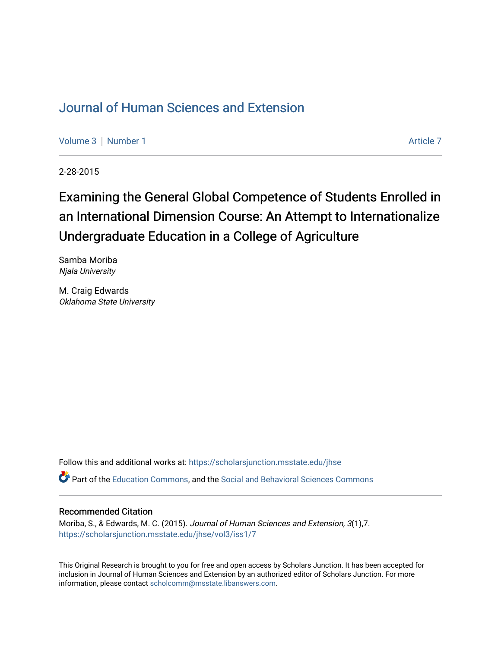## [Journal of Human Sciences and Extension](https://scholarsjunction.msstate.edu/jhse)

[Volume 3](https://scholarsjunction.msstate.edu/jhse/vol3) | [Number 1](https://scholarsjunction.msstate.edu/jhse/vol3/iss1) Article 7

2-28-2015

# Examining the General Global Competence of Students Enrolled in an International Dimension Course: An Attempt to Internationalize Undergraduate Education in a College of Agriculture

Samba Moriba Njala University

M. Craig Edwards Oklahoma State University

Follow this and additional works at: [https://scholarsjunction.msstate.edu/jhse](https://scholarsjunction.msstate.edu/jhse?utm_source=scholarsjunction.msstate.edu%2Fjhse%2Fvol3%2Fiss1%2F7&utm_medium=PDF&utm_campaign=PDFCoverPages)

Part of the [Education Commons](http://network.bepress.com/hgg/discipline/784?utm_source=scholarsjunction.msstate.edu%2Fjhse%2Fvol3%2Fiss1%2F7&utm_medium=PDF&utm_campaign=PDFCoverPages), and the [Social and Behavioral Sciences Commons](http://network.bepress.com/hgg/discipline/316?utm_source=scholarsjunction.msstate.edu%2Fjhse%2Fvol3%2Fiss1%2F7&utm_medium=PDF&utm_campaign=PDFCoverPages) 

#### Recommended Citation

Moriba, S., & Edwards, M. C. (2015). Journal of Human Sciences and Extension, 3(1),7. [https://scholarsjunction.msstate.edu/jhse/vol3/iss1/7](https://scholarsjunction.msstate.edu/jhse/vol3/iss1/7?utm_source=scholarsjunction.msstate.edu%2Fjhse%2Fvol3%2Fiss1%2F7&utm_medium=PDF&utm_campaign=PDFCoverPages)

This Original Research is brought to you for free and open access by Scholars Junction. It has been accepted for inclusion in Journal of Human Sciences and Extension by an authorized editor of Scholars Junction. For more information, please contact [scholcomm@msstate.libanswers.com](mailto:scholcomm@msstate.libanswers.com).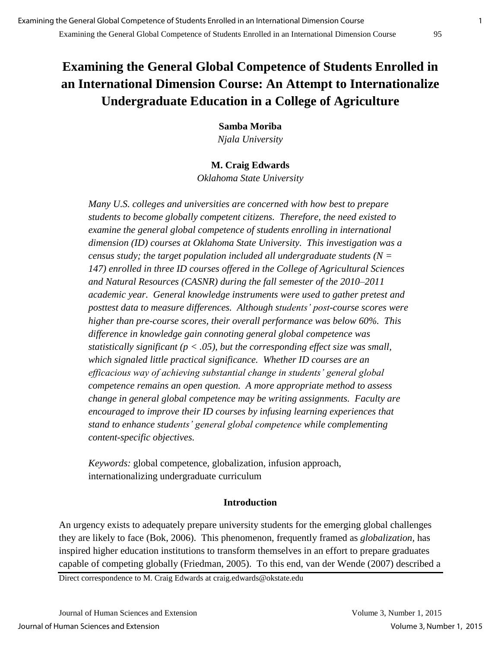## **Examining the General Global Competence of Students Enrolled in an International Dimension Course: An Attempt to Internationalize Undergraduate Education in a College of Agriculture**

**Samba Moriba**  *Njala University* 

## **M. Craig Edwards**

*Oklahoma State University* 

*Many U.S. colleges and universities are concerned with how best to prepare students to become globally competent citizens. Therefore, the need existed to examine the general global competence of students enrolling in international dimension (ID) courses at Oklahoma State University. This investigation was a census study; the target population included all undergraduate students (N = 147) enrolled in three ID courses offered in the College of Agricultural Sciences and Natural Resources (CASNR) during the fall semester of the 2010–2011 academic year. General knowledge instruments were used to gather pretest and posttest data to measure differences. Although students' post-course scores were higher than pre-course scores, their overall performance was below 60%. This difference in knowledge gain connoting general global competence was statistically significant (p < .05), but the corresponding effect size was small, which signaled little practical significance. Whether ID courses are an efficacious way of achieving substantial change in students' general global competence remains an open question. A more appropriate method to assess change in general global competence may be writing assignments. Faculty are encouraged to improve their ID courses by infusing learning experiences that stand to enhance students' general global competence while complementing content-specific objectives.* 

*Keywords:* global competence, globalization, infusion approach, internationalizing undergraduate curriculum

### **Introduction**

An urgency exists to adequately prepare university students for the emerging global challenges they are likely to face (Bok, 2006). This phenomenon, frequently framed as *globalization,* has inspired higher education institutions to transform themselves in an effort to prepare graduates capable of competing globally (Friedman, 2005). To this end, van der Wende (2007) described a

Direct correspondence to M. Craig Edwards at craig.edwards@okstate.edu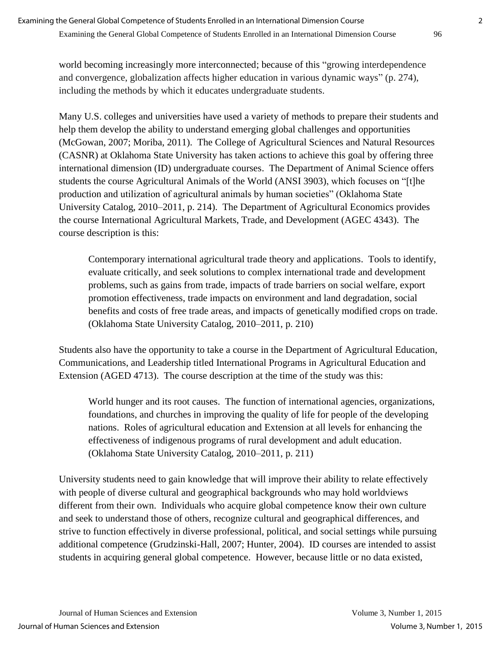Examining the General Global Competence of Students Enrolled in an International Dimension Course 96

world becoming increasingly more interconnected; because of this "growing interdependence and convergence, globalization affects higher education in various dynamic ways" (p. 274), including the methods by which it educates undergraduate students.

Many U.S. colleges and universities have used a variety of methods to prepare their students and help them develop the ability to understand emerging global challenges and opportunities (McGowan, 2007; Moriba, 2011). The College of Agricultural Sciences and Natural Resources (CASNR) at Oklahoma State University has taken actions to achieve this goal by offering three international dimension (ID) undergraduate courses. The Department of Animal Science offers students the course Agricultural Animals of the World (ANSI 3903), which focuses on "[t]he production and utilization of agricultural animals by human societies" (Oklahoma State University Catalog, 2010–2011, p. 214). The Department of Agricultural Economics provides the course International Agricultural Markets, Trade, and Development (AGEC 4343). The course description is this:

Contemporary international agricultural trade theory and applications. Tools to identify, evaluate critically, and seek solutions to complex international trade and development problems, such as gains from trade, impacts of trade barriers on social welfare, export promotion effectiveness, trade impacts on environment and land degradation, social benefits and costs of free trade areas, and impacts of genetically modified crops on trade. (Oklahoma State University Catalog, 2010–2011, p. 210)

Students also have the opportunity to take a course in the Department of Agricultural Education, Communications, and Leadership titled International Programs in Agricultural Education and Extension (AGED 4713). The course description at the time of the study was this:

World hunger and its root causes. The function of international agencies, organizations, foundations, and churches in improving the quality of life for people of the developing nations. Roles of agricultural education and Extension at all levels for enhancing the effectiveness of indigenous programs of rural development and adult education. (Oklahoma State University Catalog, 2010–2011, p. 211)

University students need to gain knowledge that will improve their ability to relate effectively with people of diverse cultural and geographical backgrounds who may hold worldviews different from their own. Individuals who acquire global competence know their own culture and seek to understand those of others, recognize cultural and geographical differences, and strive to function effectively in diverse professional, political, and social settings while pursuing additional competence (Grudzinski-Hall, 2007; Hunter, 2004). ID courses are intended to assist students in acquiring general global competence. However, because little or no data existed,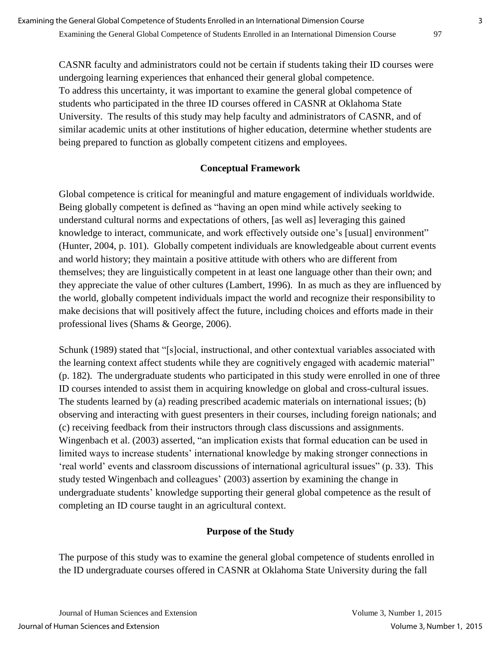CASNR faculty and administrators could not be certain if students taking their ID courses were undergoing learning experiences that enhanced their general global competence. To address this uncertainty, it was important to examine the general global competence of students who participated in the three ID courses offered in CASNR at Oklahoma State University. The results of this study may help faculty and administrators of CASNR, and of similar academic units at other institutions of higher education, determine whether students are being prepared to function as globally competent citizens and employees.

### **Conceptual Framework**

Global competence is critical for meaningful and mature engagement of individuals worldwide. Being globally competent is defined as "having an open mind while actively seeking to understand cultural norms and expectations of others, [as well as] leveraging this gained knowledge to interact, communicate, and work effectively outside one's [usual] environment" (Hunter, 2004, p. 101). Globally competent individuals are knowledgeable about current events and world history; they maintain a positive attitude with others who are different from themselves; they are linguistically competent in at least one language other than their own; and they appreciate the value of other cultures (Lambert, 1996). In as much as they are influenced by the world, globally competent individuals impact the world and recognize their responsibility to make decisions that will positively affect the future, including choices and efforts made in their professional lives (Shams & George, 2006).

Schunk (1989) stated that "[s]ocial, instructional, and other contextual variables associated with the learning context affect students while they are cognitively engaged with academic material" (p. 182). The undergraduate students who participated in this study were enrolled in one of three ID courses intended to assist them in acquiring knowledge on global and cross-cultural issues. The students learned by (a) reading prescribed academic materials on international issues; (b) observing and interacting with guest presenters in their courses, including foreign nationals; and (c) receiving feedback from their instructors through class discussions and assignments. Wingenbach et al. (2003) asserted, "an implication exists that formal education can be used in limited ways to increase students' international knowledge by making stronger connections in 'real world' events and classroom discussions of international agricultural issues" (p. 33). This study tested Wingenbach and colleagues' (2003) assertion by examining the change in undergraduate students' knowledge supporting their general global competence as the result of completing an ID course taught in an agricultural context.

#### **Purpose of the Study**

The purpose of this study was to examine the general global competence of students enrolled in the ID undergraduate courses offered in CASNR at Oklahoma State University during the fall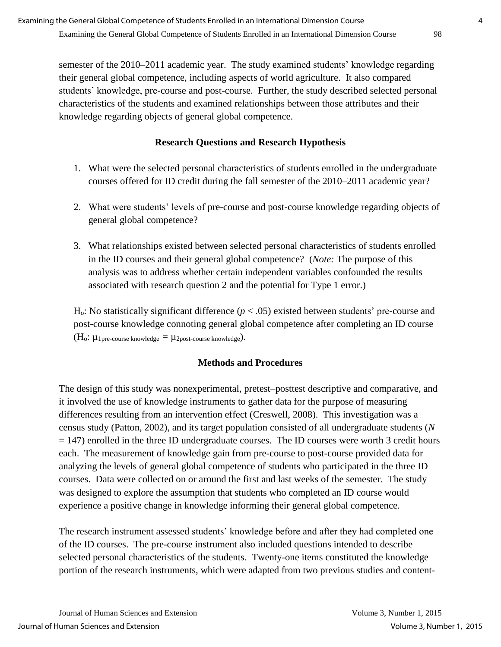semester of the 2010–2011 academic year. The study examined students' knowledge regarding their general global competence, including aspects of world agriculture. It also compared students' knowledge, pre-course and post-course. Further, the study described selected personal characteristics of the students and examined relationships between those attributes and their knowledge regarding objects of general global competence.

## **Research Questions and Research Hypothesis**

- 1. What were the selected personal characteristics of students enrolled in the undergraduate courses offered for ID credit during the fall semester of the 2010–2011 academic year?
- 2. What were students' levels of pre-course and post-course knowledge regarding objects of general global competence?
- 3. What relationships existed between selected personal characteristics of students enrolled in the ID courses and their general global competence? (*Note:* The purpose of this analysis was to address whether certain independent variables confounded the results associated with research question 2 and the potential for Type 1 error.)

Ho: No statistically significant difference (*p* < .05) existed between students' pre-course and post-course knowledge connoting general global competence after completing an ID course  $(H_0: \mu_1)$  pre-course knowledge  $= \mu_2$  post-course knowledge).

## **Methods and Procedures**

The design of this study was nonexperimental, pretest–posttest descriptive and comparative, and it involved the use of knowledge instruments to gather data for the purpose of measuring differences resulting from an intervention effect (Creswell, 2008). This investigation was a census study (Patton, 2002), and its target population consisted of all undergraduate students (*N*  $= 147$ ) enrolled in the three ID undergraduate courses. The ID courses were worth 3 credit hours each. The measurement of knowledge gain from pre-course to post-course provided data for analyzing the levels of general global competence of students who participated in the three ID courses. Data were collected on or around the first and last weeks of the semester. The study was designed to explore the assumption that students who completed an ID course would experience a positive change in knowledge informing their general global competence.

The research instrument assessed students' knowledge before and after they had completed one of the ID courses. The pre-course instrument also included questions intended to describe selected personal characteristics of the students. Twenty-one items constituted the knowledge portion of the research instruments, which were adapted from two previous studies and content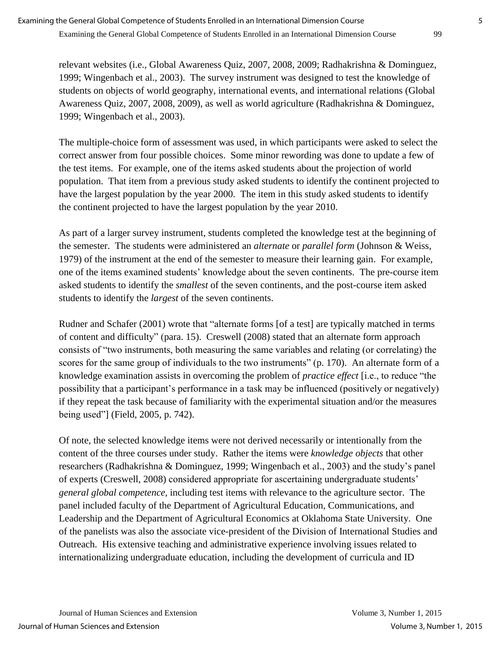relevant websites (i.e., Global Awareness Quiz, 2007, 2008, 2009; Radhakrishna & Dominguez, 1999; Wingenbach et al., 2003). The survey instrument was designed to test the knowledge of students on objects of world geography, international events, and international relations (Global Awareness Quiz, 2007, 2008, 2009), as well as world agriculture (Radhakrishna & Dominguez, 1999; Wingenbach et al., 2003).

The multiple-choice form of assessment was used, in which participants were asked to select the correct answer from four possible choices. Some minor rewording was done to update a few of the test items. For example, one of the items asked students about the projection of world population. That item from a previous study asked students to identify the continent projected to have the largest population by the year 2000. The item in this study asked students to identify the continent projected to have the largest population by the year 2010.

As part of a larger survey instrument, students completed the knowledge test at the beginning of the semester. The students were administered an *alternate* or *parallel form* (Johnson & Weiss, 1979) of the instrument at the end of the semester to measure their learning gain. For example, one of the items examined students' knowledge about the seven continents. The pre-course item asked students to identify the *smallest* of the seven continents, and the post-course item asked students to identify the *largest* of the seven continents.

Rudner and Schafer (2001) wrote that "alternate forms [of a test] are typically matched in terms of content and difficulty" (para. 15). Creswell (2008) stated that an alternate form approach consists of "two instruments, both measuring the same variables and relating (or correlating) the scores for the same group of individuals to the two instruments" (p. 170). An alternate form of a knowledge examination assists in overcoming the problem of *practice effect* [i.e., to reduce "the possibility that a participant's performance in a task may be influenced (positively or negatively) if they repeat the task because of familiarity with the experimental situation and/or the measures being used"] (Field, 2005, p. 742).

Of note, the selected knowledge items were not derived necessarily or intentionally from the content of the three courses under study. Rather the items were *knowledge objects* that other researchers (Radhakrishna & Dominguez, 1999; Wingenbach et al., 2003) and the study's panel of experts (Creswell, 2008) considered appropriate for ascertaining undergraduate students' *general global competence*, including test items with relevance to the agriculture sector. The panel included faculty of the Department of Agricultural Education, Communications, and Leadership and the Department of Agricultural Economics at Oklahoma State University. One of the panelists was also the associate vice-president of the Division of International Studies and Outreach. His extensive teaching and administrative experience involving issues related to internationalizing undergraduate education, including the development of curricula and ID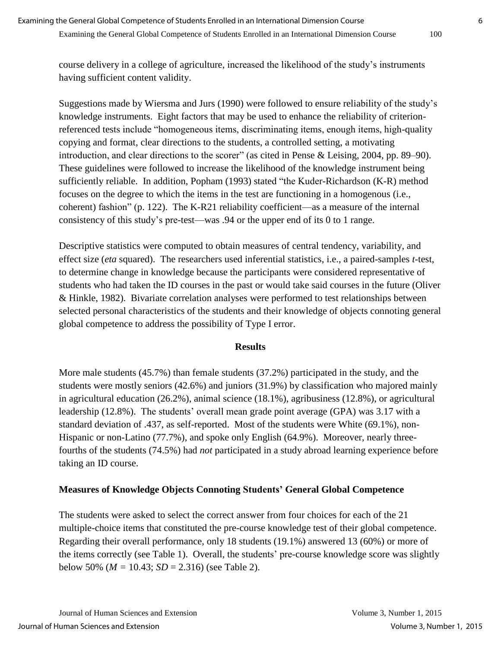course delivery in a college of agriculture, increased the likelihood of the study's instruments having sufficient content validity.

Suggestions made by Wiersma and Jurs (1990) were followed to ensure reliability of the study's knowledge instruments. Eight factors that may be used to enhance the reliability of criterionreferenced tests include "homogeneous items, discriminating items, enough items, high-quality copying and format, clear directions to the students, a controlled setting, a motivating introduction, and clear directions to the scorer" (as cited in Pense & Leising, 2004, pp. 89–90). These guidelines were followed to increase the likelihood of the knowledge instrument being sufficiently reliable. In addition, Popham (1993) stated "the Kuder-Richardson (K-R) method focuses on the degree to which the items in the test are functioning in a homogenous (i.e., coherent) fashion" (p. 122). The K-R21 reliability coefficient—as a measure of the internal consistency of this study's pre-test—was .94 or the upper end of its 0 to 1 range.

Descriptive statistics were computed to obtain measures of central tendency, variability, and effect size (*eta* squared). The researchers used inferential statistics, i.e., a paired-samples *t*-test, to determine change in knowledge because the participants were considered representative of students who had taken the ID courses in the past or would take said courses in the future (Oliver & Hinkle, 1982). Bivariate correlation analyses were performed to test relationships between selected personal characteristics of the students and their knowledge of objects connoting general global competence to address the possibility of Type I error.

#### **Results**

More male students (45.7%) than female students (37.2%) participated in the study, and the students were mostly seniors (42.6%) and juniors (31.9%) by classification who majored mainly in agricultural education (26.2%), animal science (18.1%), agribusiness (12.8%), or agricultural leadership (12.8%). The students' overall mean grade point average (GPA) was 3.17 with a standard deviation of .437, as self-reported. Most of the students were White (69.1%), non-Hispanic or non-Latino (77.7%), and spoke only English (64.9%). Moreover, nearly threefourths of the students (74.5%) had *not* participated in a study abroad learning experience before taking an ID course.

### **Measures of Knowledge Objects Connoting Students' General Global Competence**

The students were asked to select the correct answer from four choices for each of the 21 multiple-choice items that constituted the pre-course knowledge test of their global competence. Regarding their overall performance, only 18 students (19.1%) answered 13 (60%) or more of the items correctly (see Table 1). Overall, the students' pre-course knowledge score was slightly below 50% ( $M = 10.43$ ;  $SD = 2.316$ ) (see Table 2).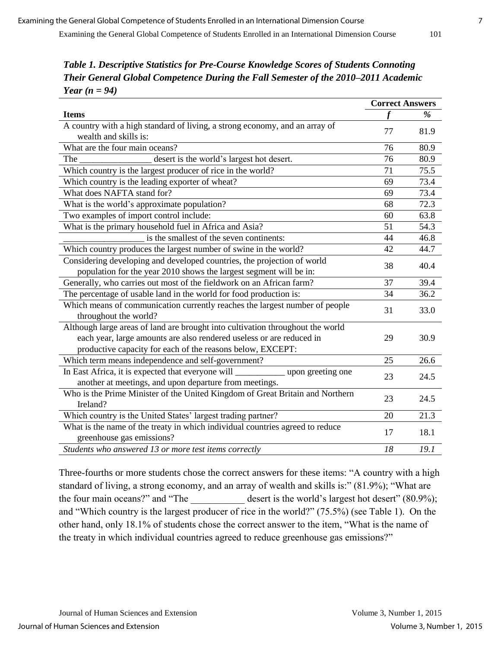*Table 1. Descriptive Statistics for Pre-Course Knowledge Scores of Students Connoting Their General Global Competence During the Fall Semester of the 2010–2011 Academic Year (n = 94)*

|                                                                                     | <b>Correct Answers</b> |      |
|-------------------------------------------------------------------------------------|------------------------|------|
| <b>Items</b>                                                                        |                        | %    |
| A country with a high standard of living, a strong economy, and an array of         | 77                     | 81.9 |
| wealth and skills is:                                                               |                        |      |
| What are the four main oceans?                                                      | 76                     | 80.9 |
| desert is the world's largest hot desert.<br>The                                    | 76                     | 80.9 |
| Which country is the largest producer of rice in the world?                         | 71                     | 75.5 |
| Which country is the leading exporter of wheat?                                     | 69                     | 73.4 |
| What does NAFTA stand for?                                                          | 69                     | 73.4 |
| What is the world's approximate population?                                         | 68                     | 72.3 |
| Two examples of import control include:                                             | 60                     | 63.8 |
| What is the primary household fuel in Africa and Asia?                              | 51                     | 54.3 |
| is the smallest of the seven continents:                                            | 44                     | 46.8 |
| Which country produces the largest number of swine in the world?                    | 42                     | 44.7 |
| Considering developing and developed countries, the projection of world             |                        | 40.4 |
| population for the year 2010 shows the largest segment will be in:                  | 38                     |      |
| Generally, who carries out most of the fieldwork on an African farm?                | 37                     | 39.4 |
| The percentage of usable land in the world for food production is:                  | 34                     | 36.2 |
| Which means of communication currently reaches the largest number of people         |                        | 33.0 |
| throughout the world?                                                               | 31                     |      |
| Although large areas of land are brought into cultivation throughout the world      |                        |      |
| each year, large amounts are also rendered useless or are reduced in                | 29                     | 30.9 |
| productive capacity for each of the reasons below, EXCEPT:                          |                        |      |
| Which term means independence and self-government?                                  | 25                     | 26.6 |
| In East Africa, it is expected that everyone will _______________ upon greeting one |                        |      |
| another at meetings, and upon departure from meetings.                              | 23                     | 24.5 |
| Who is the Prime Minister of the United Kingdom of Great Britain and Northern       | 23                     | 24.5 |
| Ireland?                                                                            |                        |      |
| Which country is the United States' largest trading partner?                        | 20                     | 21.3 |
| What is the name of the treaty in which individual countries agreed to reduce       | 17                     | 18.1 |
| greenhouse gas emissions?                                                           |                        |      |
| Students who answered 13 or more test items correctly                               | 18                     | 19.1 |

Three-fourths or more students chose the correct answers for these items: "A country with a high standard of living, a strong economy, and an array of wealth and skills is:" (81.9%); "What are the four main oceans?" and "The  $\qquad$  desert is the world's largest hot desert" (80.9%); and "Which country is the largest producer of rice in the world?" (75.5%) (see Table 1). On the other hand, only 18.1% of students chose the correct answer to the item, "What is the name of the treaty in which individual countries agreed to reduce greenhouse gas emissions?"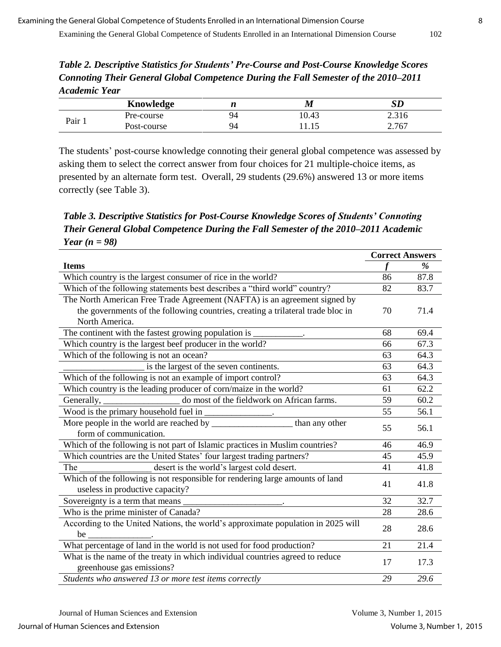*Table 2. Descriptive Statistics for Students' Pre-Course and Post-Course Knowledge Scores Connoting Their General Global Competence During the Fall Semester of the 2010–2011 Academic Year*

|      | Knowledge   |    | M     | SD            |
|------|-------------|----|-------|---------------|
|      | Pre-course  | 94 | 10.43 | .21<<br>2.310 |
| Pair | Post-course | 94 |       | 2.767         |

The students' post-course knowledge connoting their general global competence was assessed by asking them to select the correct answer from four choices for 21 multiple-choice items, as presented by an alternate form test. Overall, 29 students (29.6%) answered 13 or more items correctly (see Table 3).

*Table 3. Descriptive Statistics for Post-Course Knowledge Scores of Students' Connoting Their General Global Competence During the Fall Semester of the 2010–2011 Academic Year (n = 98)*

|                                                                                   | <b>Correct Answers</b> |      |
|-----------------------------------------------------------------------------------|------------------------|------|
| <b>Items</b>                                                                      | $\boldsymbol{f}$       | %    |
| Which country is the largest consumer of rice in the world?                       | 86                     | 87.8 |
| Which of the following statements best describes a "third world" country?         | 82                     | 83.7 |
| The North American Free Trade Agreement (NAFTA) is an agreement signed by         |                        |      |
| the governments of the following countries, creating a trilateral trade bloc in   | 70                     | 71.4 |
| North America.                                                                    |                        |      |
| The continent with the fastest growing population is                              | 68                     | 69.4 |
| Which country is the largest beef producer in the world?                          | 66                     | 67.3 |
| Which of the following is not an ocean?                                           | 63                     | 64.3 |
| is the largest of the seven continents.                                           | 63                     | 64.3 |
| Which of the following is not an example of import control?                       | 63                     | 64.3 |
| Which country is the leading producer of corn/maize in the world?                 | 61                     | 62.2 |
| do most of the fieldwork on African farms.<br>Generally, $\overline{\phantom{a}}$ | 59                     | 60.2 |
|                                                                                   | 55                     | 56.1 |
| than any other                                                                    | 55                     | 56.1 |
| form of communication.                                                            |                        |      |
| Which of the following is not part of Islamic practices in Muslim countries?      | 46                     | 46.9 |
| Which countries are the United States' four largest trading partners?             | 45                     | 45.9 |
| desert is the world's largest cold desert.<br>The                                 | 41                     | 41.8 |
| Which of the following is not responsible for rendering large amounts of land     | 41                     | 41.8 |
| useless in productive capacity?                                                   |                        |      |
|                                                                                   | 32                     | 32.7 |
| Who is the prime minister of Canada?                                              | 28                     | 28.6 |
| According to the United Nations, the world's approximate population in 2025 will  | 28                     | 28.6 |
| be $\qquad$                                                                       |                        |      |
| What percentage of land in the world is not used for food production?             | 21                     | 21.4 |
| What is the name of the treaty in which individual countries agreed to reduce     | 17                     | 17.3 |
| greenhouse gas emissions?                                                         |                        |      |
| Students who answered 13 or more test items correctly                             | 29                     | 29.6 |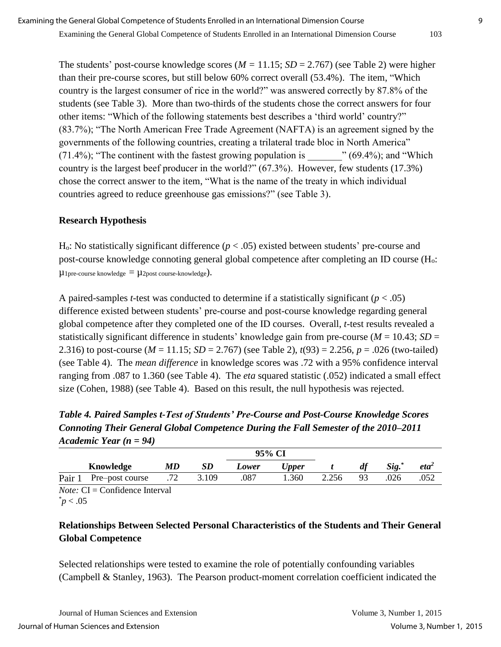The students' post-course knowledge scores  $(M = 11.15; SD = 2.767)$  (see Table 2) were higher than their pre-course scores, but still below 60% correct overall (53.4%). The item, "Which country is the largest consumer of rice in the world?" was answered correctly by 87.8% of the students (see Table 3). More than two-thirds of the students chose the correct answers for four other items: "Which of the following statements best describes a 'third world' country?" (83.7%); "The North American Free Trade Agreement (NAFTA) is an agreement signed by the governments of the following countries, creating a trilateral trade bloc in North America"  $(71.4\%)$ ; "The continent with the fastest growing population is  $(69.4\%)$ ; and "Which country is the largest beef producer in the world?" (67.3%). However, few students (17.3%) chose the correct answer to the item, "What is the name of the treaty in which individual countries agreed to reduce greenhouse gas emissions?" (see Table 3).

### **Research Hypothesis**

 $H<sub>o</sub>$ : No statistically significant difference ( $p < .05$ ) existed between students' pre-course and post-course knowledge connoting general global competence after completing an ID course (H<sub>o</sub>:  $\mu_{1}$ pre-course knowledge  $= \mu_{2}$ post course-knowledge).

A paired-samples *t*-test was conducted to determine if a statistically significant (*p* < .05) difference existed between students' pre-course and post-course knowledge regarding general global competence after they completed one of the ID courses. Overall, *t*-test results revealed a statistically significant difference in students' knowledge gain from pre-course ( $M = 10.43$ ;  $SD =$ 2.316) to post-course (*M* = 11.15; *SD* = 2.767) (see Table 2), *t*(93) = 2.256, *p* = .026 (two-tailed) (see Table 4). The *mean difference* in knowledge scores was .72 with a 95% confidence interval ranging from .087 to 1.360 (see Table 4). The *eta* squared statistic (.052) indicated a small effect size (Cohen, 1988) (see Table 4). Based on this result, the null hypothesis was rejected.

*Table 4. Paired Samples t-Test of Students' Pre-Course and Post-Course Knowledge Scores Connoting Their General Global Competence During the Fall Semester of the 2010–2011 Academic Year (n = 94)*

|        |                 |     | 95% CI |       |       |       |    |       |         |
|--------|-----------------|-----|--------|-------|-------|-------|----|-------|---------|
|        | Knowledge       | MD  |        | Lower | Upper |       | df | Sig.* | $eta^2$ |
| Pair 1 | Pre-post course | .72 | 3.109  | .087  | .360  | 2.256 | 93 | 026   | .052    |

*Note:* CI = Confidence Interval  $p < .05$ 

## **Relationships Between Selected Personal Characteristics of the Students and Their General Global Competence**

Selected relationships were tested to examine the role of potentially confounding variables (Campbell & Stanley, 1963). The Pearson product-moment correlation coefficient indicated the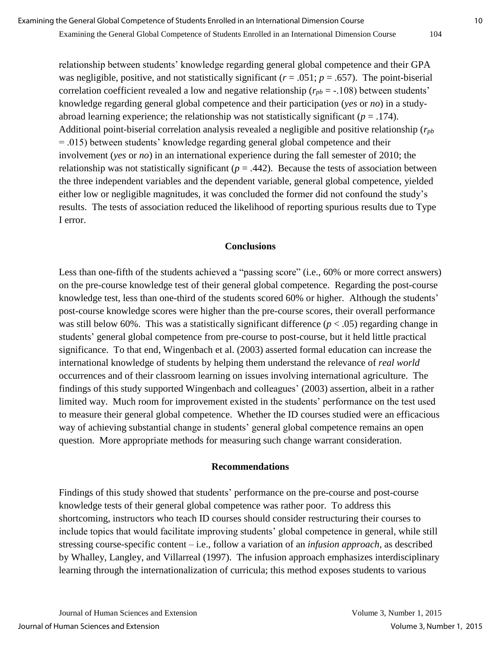Examining the General Global Competence of Students Enrolled in an International Dimension Course 104

relationship between students' knowledge regarding general global competence and their GPA was negligible, positive, and not statistically significant  $(r = .051; p = .657)$ . The point-biserial correlation coefficient revealed a low and negative relationship  $(r_{pb} = -.108)$  between students' knowledge regarding general global competence and their participation (*yes* or *no*) in a studyabroad learning experience; the relationship was not statistically significant ( $p = .174$ ). Additional point-biserial correlation analysis revealed a negligible and positive relationship (*rpb* = .015) between students' knowledge regarding general global competence and their involvement (*yes* or *no*) in an international experience during the fall semester of 2010; the relationship was not statistically significant  $(p = .442)$ . Because the tests of association between the three independent variables and the dependent variable, general global competence, yielded either low or negligible magnitudes, it was concluded the former did not confound the study's results. The tests of association reduced the likelihood of reporting spurious results due to Type I error.

#### **Conclusions**

Less than one-fifth of the students achieved a "passing score" (i.e., 60% or more correct answers) on the pre-course knowledge test of their general global competence. Regarding the post-course knowledge test, less than one-third of the students scored 60% or higher. Although the students' post-course knowledge scores were higher than the pre-course scores, their overall performance was still below 60%. This was a statistically significant difference (*p* < .05) regarding change in students' general global competence from pre-course to post-course, but it held little practical significance. To that end, Wingenbach et al. (2003) asserted formal education can increase the international knowledge of students by helping them understand the relevance of *real world* occurrences and of their classroom learning on issues involving international agriculture. The findings of this study supported Wingenbach and colleagues' (2003) assertion, albeit in a rather limited way. Much room for improvement existed in the students' performance on the test used to measure their general global competence. Whether the ID courses studied were an efficacious way of achieving substantial change in students' general global competence remains an open question. More appropriate methods for measuring such change warrant consideration.

#### **Recommendations**

Findings of this study showed that students' performance on the pre-course and post-course knowledge tests of their general global competence was rather poor. To address this shortcoming, instructors who teach ID courses should consider restructuring their courses to include topics that would facilitate improving students' global competence in general, while still stressing course-specific content – i.e., follow a variation of an *infusion approach,* as described by Whalley, Langley, and Villarreal (1997). The infusion approach emphasizes interdisciplinary learning through the internationalization of curricula; this method exposes students to various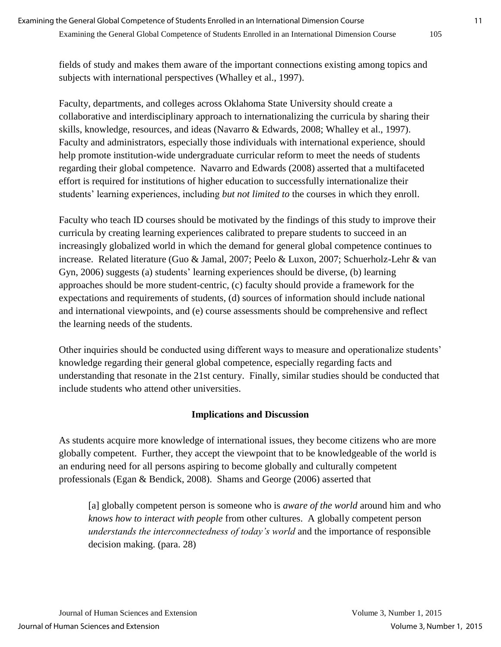fields of study and makes them aware of the important connections existing among topics and subjects with international perspectives (Whalley et al., 1997).

Faculty, departments, and colleges across Oklahoma State University should create a collaborative and interdisciplinary approach to internationalizing the curricula by sharing their skills, knowledge, resources, and ideas (Navarro & Edwards, 2008; Whalley et al., 1997). Faculty and administrators, especially those individuals with international experience, should help promote institution-wide undergraduate curricular reform to meet the needs of students regarding their global competence. Navarro and Edwards (2008) asserted that a multifaceted effort is required for institutions of higher education to successfully internationalize their students' learning experiences, including *but not limited to* the courses in which they enroll.

Faculty who teach ID courses should be motivated by the findings of this study to improve their curricula by creating learning experiences calibrated to prepare students to succeed in an increasingly globalized world in which the demand for general global competence continues to increase. Related literature (Guo & Jamal, 2007; Peelo & Luxon, 2007; Schuerholz-Lehr & van Gyn, 2006) suggests (a) students' learning experiences should be diverse, (b) learning approaches should be more student-centric, (c) faculty should provide a framework for the expectations and requirements of students, (d) sources of information should include national and international viewpoints, and (e) course assessments should be comprehensive and reflect the learning needs of the students.

Other inquiries should be conducted using different ways to measure and operationalize students' knowledge regarding their general global competence, especially regarding facts and understanding that resonate in the 21st century. Finally, similar studies should be conducted that include students who attend other universities.

### **Implications and Discussion**

As students acquire more knowledge of international issues, they become citizens who are more globally competent. Further, they accept the viewpoint that to be knowledgeable of the world is an enduring need for all persons aspiring to become globally and culturally competent professionals (Egan & Bendick, 2008). Shams and George (2006) asserted that

[a] globally competent person is someone who is *aware of the world* around him and who *knows how to interact with people* from other cultures. A globally competent person *understands the interconnectedness of today's world* and the importance of responsible decision making. (para. 28)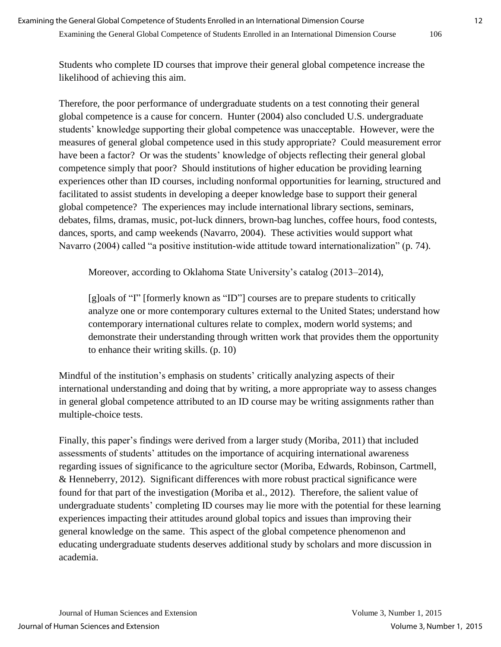Students who complete ID courses that improve their general global competence increase the likelihood of achieving this aim.

Therefore, the poor performance of undergraduate students on a test connoting their general global competence is a cause for concern. Hunter (2004) also concluded U.S. undergraduate students' knowledge supporting their global competence was unacceptable. However, were the measures of general global competence used in this study appropriate? Could measurement error have been a factor? Or was the students' knowledge of objects reflecting their general global competence simply that poor? Should institutions of higher education be providing learning experiences other than ID courses, including nonformal opportunities for learning, structured and facilitated to assist students in developing a deeper knowledge base to support their general global competence? The experiences may include international library sections, seminars, debates, films, dramas, music, pot-luck dinners, brown-bag lunches, coffee hours, food contests, dances, sports, and camp weekends (Navarro, 2004). These activities would support what Navarro (2004) called "a positive institution-wide attitude toward internationalization" (p. 74).

Moreover, according to Oklahoma State University's catalog (2013–2014),

[g]oals of "I" [formerly known as "ID"] courses are to prepare students to critically analyze one or more contemporary cultures external to the United States; understand how contemporary international cultures relate to complex, modern world systems; and demonstrate their understanding through written work that provides them the opportunity to enhance their writing skills. (p. 10)

Mindful of the institution's emphasis on students' critically analyzing aspects of their international understanding and doing that by writing, a more appropriate way to assess changes in general global competence attributed to an ID course may be writing assignments rather than multiple-choice tests.

Finally, this paper's findings were derived from a larger study (Moriba, 2011) that included assessments of students' attitudes on the importance of acquiring international awareness regarding issues of significance to the agriculture sector (Moriba, Edwards, Robinson, Cartmell, & Henneberry, 2012). Significant differences with more robust practical significance were found for that part of the investigation (Moriba et al., 2012). Therefore, the salient value of undergraduate students' completing ID courses may lie more with the potential for these learning experiences impacting their attitudes around global topics and issues than improving their general knowledge on the same. This aspect of the global competence phenomenon and educating undergraduate students deserves additional study by scholars and more discussion in academia.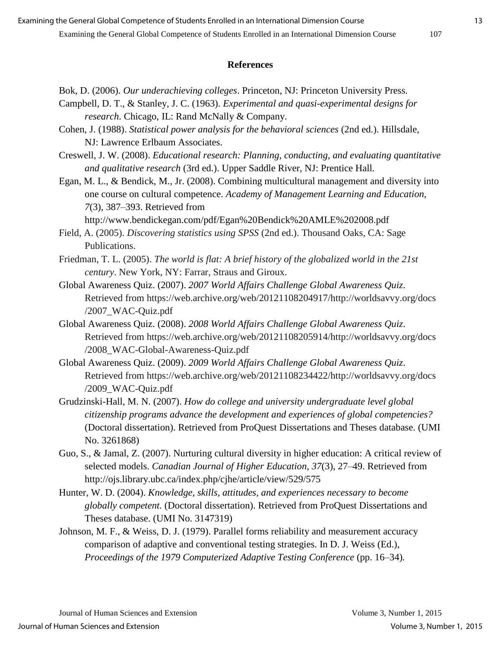#### **References**

- Bok, D. (2006). *Our underachieving colleges*. Princeton, NJ: Princeton University Press.
- Campbell, D. T., & Stanley, J. C. (1963). *Experimental and quasi-experimental designs for research*. Chicago, IL: Rand McNally & Company.
- Cohen, J. (1988). *Statistical power analysis for the behavioral sciences* (2nd ed.). Hillsdale, NJ: Lawrence Erlbaum Associates.
- Creswell, J. W. (2008). *Educational research: Planning, conducting, and evaluating quantitative and qualitative research* (3rd ed.). Upper Saddle River, NJ: Prentice Hall.
- Egan, M. L., & Bendick, M., Jr. (2008). Combining multicultural management and diversity into one course on cultural competence. *Academy of Management Learning and Education, 7*(3), 387–393. Retrieved from

http://www.bendickegan.com/pdf/Egan%20Bendick%20AMLE%202008.pdf

- Field, A. (2005). *Discovering statistics using SPSS* (2nd ed.). Thousand Oaks, CA: Sage Publications.
- Friedman, T. L. (2005). *The world is flat: A brief history of the globalized world in the 21st century*. New York, NY: Farrar, Straus and Giroux.
- Global Awareness Quiz. (2007). *2007 World Affairs Challenge Global Awareness Quiz*. Retrieved from https://web.archive.org/web/20121108204917/http://worldsavvy.org/docs /2007\_WAC-Quiz.pdf
- Global Awareness Quiz. (2008). *2008 World Affairs Challenge Global Awareness Quiz*. Retrieved from https://web.archive.org/web/20121108205914/http://worldsavvy.org/docs /2008\_WAC-Global-Awareness-Quiz.pdf
- Global Awareness Quiz. (2009). *2009 World Affairs Challenge Global Awareness Quiz*. Retrieved from https://web.archive.org/web/20121108234422/http://worldsavvy.org/docs /2009\_WAC-Quiz.pdf
- Grudzinski-Hall, M. N. (2007). *How do college and university undergraduate level global citizenship programs advance the development and experiences of global competencies?* (Doctoral dissertation). Retrieved from ProQuest Dissertations and Theses database. (UMI No. 3261868)
- Guo, S., & Jamal, Z. (2007). Nurturing cultural diversity in higher education: A critical review of selected models. *Canadian Journal of Higher Education, 37*(3), 27–49. Retrieved from http://ojs.library.ubc.ca/index.php/cjhe/article/view/529/575
- Hunter, W. D. (2004). *Knowledge, skills, attitudes, and experiences necessary to become globally competent.* (Doctoral dissertation). Retrieved from ProQuest Dissertations and Theses database. (UMI No. 3147319)
- Johnson, M. F., & Weiss, D. J. (1979). Parallel forms reliability and measurement accuracy comparison of adaptive and conventional testing strategies. In D. J. Weiss (Ed.), *Proceedings of the 1979 Computerized Adaptive Testing Conference (pp. 16–34).*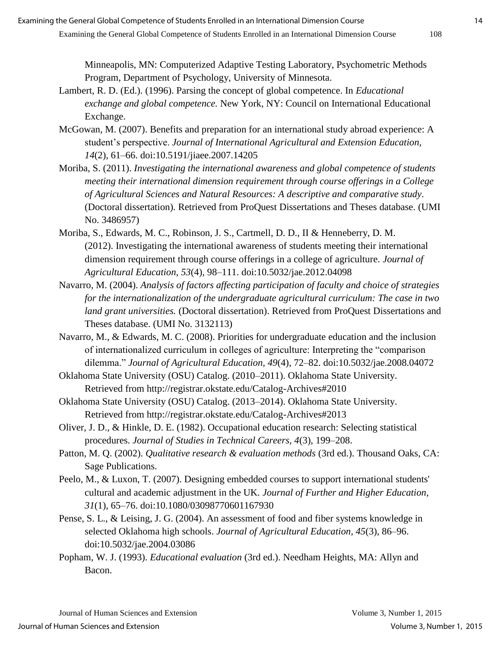Minneapolis, MN: Computerized Adaptive Testing Laboratory, Psychometric Methods Program, Department of Psychology, University of Minnesota.

- Lambert, R. D. (Ed.). (1996). Parsing the concept of global competence. In *Educational exchange and global competence.* New York, NY: Council on International Educational Exchange.
- McGowan, M. (2007). Benefits and preparation for an international study abroad experience: A student's perspective. *Journal of International Agricultural and Extension Education, 14*(2), 61–66. doi:10.5191/jiaee.2007.14205
- Moriba, S. (2011). *Investigating the international awareness and global competence of students meeting their international dimension requirement through course offerings in a College of Agricultural Sciences and Natural Resources: A descriptive and comparative study.* (Doctoral dissertation). Retrieved from ProQuest Dissertations and Theses database. (UMI No. 3486957)
- Moriba, S., Edwards, M. C., Robinson, J. S., Cartmell, D. D., II & Henneberry, D. M. (2012). Investigating the international awareness of students meeting their international dimension requirement through course offerings in a college of agriculture. *Journal of Agricultural Education, 53*(4), 98–111. doi:10.5032/jae.2012.04098
- Navarro, M. (2004). *Analysis of factors affecting participation of faculty and choice of strategies for the internationalization of the undergraduate agricultural curriculum: The case in two land grant universities.* (Doctoral dissertation). Retrieved from ProQuest Dissertations and Theses database. (UMI No. 3132113)
- Navarro, M., & Edwards, M. C. (2008). Priorities for undergraduate education and the inclusion of internationalized curriculum in colleges of agriculture: Interpreting the "comparison dilemma." *Journal of Agricultural Education, 49*(4), 72–82. doi:10.5032/jae.2008.04072
- Oklahoma State University (OSU) Catalog. (2010–2011). Oklahoma State University. Retrieved from http://registrar.okstate.edu/Catalog-Archives#2010
- Oklahoma State University (OSU) Catalog. (2013–2014). Oklahoma State University. Retrieved from http://registrar.okstate.edu/Catalog-Archives#2013
- Oliver, J. D., & Hinkle, D. E. (1982). Occupational education research: Selecting statistical procedures. *Journal of Studies in Technical Careers, 4*(3), 199–208.
- Patton, M. Q. (2002). *Qualitative research & evaluation methods* (3rd ed.). Thousand Oaks, CA: Sage Publications.
- Peelo, M., & Luxon, T. (2007). Designing embedded courses to support international students' cultural and academic adjustment in the UK. *Journal of Further and Higher Education, 31*(1), 65–76. doi:10.1080/03098770601167930
- Pense, S. L., & Leising, J. G. (2004). An assessment of food and fiber systems knowledge in selected Oklahoma high schools. *Journal of Agricultural Education, 45*(3), 86–96. doi:10.5032/jae.2004.03086
- Popham, W. J. (1993). *Educational evaluation* (3rd ed.). Needham Heights, MA: Allyn and Bacon.